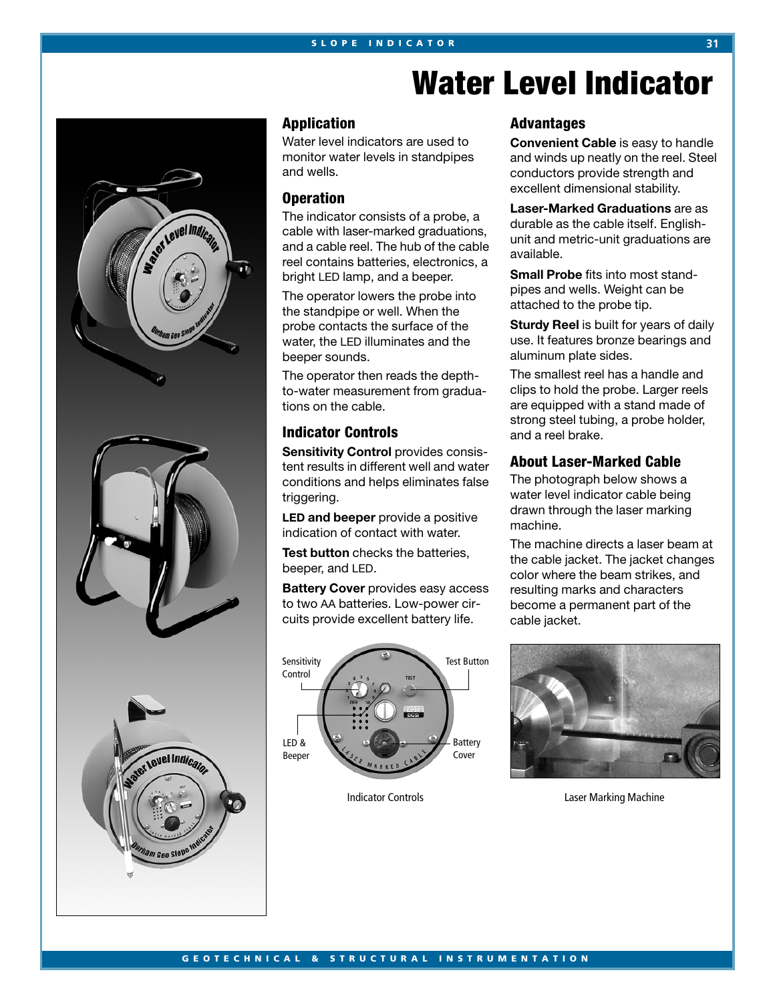

**Application**

Water level indicators are used to monitor water levels in standpipes and wells.

**SLOPE INDICATOR 31**

#### **Operation**

The indicator consists of a probe, a cable with laser-marked graduations, and a cable reel. The hub of the cable reel contains batteries, electronics, a bright LED lamp, and a beeper.

The operator lowers the probe into the standpipe or well. When the probe contacts the surface of the water, the LED illuminates and the beeper sounds.

The operator then reads the depthto-water measurement from graduations on the cable.

## **Indicator Controls**

**Sensitivity Control provides consis**tent results in different well and water conditions and helps eliminates false triggering.

**LED and beeper** provide a positive indication of contact with water.

**Test button** checks the batteries, beeper, and LED.

**Battery Cover** provides easy access to two AA batteries. Low-power circuits provide excellent battery life.



# **Water Level Indicator**

## **Advantages**

**Convenient Cable** is easy to handle and winds up neatly on the reel. Steel conductors provide strength and excellent dimensional stability.

**Laser-Marked Graduations** are as durable as the cable itself. Englishunit and metric-unit graduations are available.

**Small Probe** fits into most standpipes and wells. Weight can be attached to the probe tip.

**Sturdy Reel** is built for years of daily use. It features bronze bearings and aluminum plate sides.

The smallest reel has a handle and clips to hold the probe. Larger reels are equipped with a stand made of strong steel tubing, a probe holder, and a reel brake.

## **About Laser-Marked Cable**

The photograph below shows a water level indicator cable being drawn through the laser marking machine.

The machine directs a laser beam at the cable jacket. The jacket changes color where the beam strikes, and resulting marks and characters become a permanent part of the cable jacket.



**Indicator Controls Controls Controls Controls Controls Controls Controls Controls Controls Controls Controls Controls Controls Controls Controls Controls Controls Controls Controls Controls Controls Controls Controls Cont**